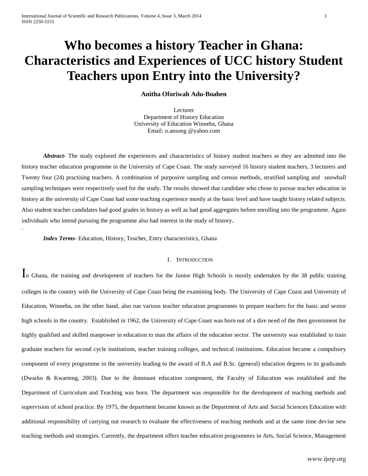# **Who becomes a history Teacher in Ghana: Characteristics and Experiences of UCC history Student Teachers upon Entry into the University?**

# **Anitha Oforiwah Adu-Boahen**

Lecturer Department of History Education University of Education Winneba, Ghana Email: o.ansong @yahoo.com

*Abstract***-** The study explored the experiences and characteristics of history student teachers as they are admitted into the history teacher education programme in the University of Cape Coast. The study surveyed 16 history student teachers, 3 lecturers and Twenty four (24) practising teachers. A combination of purposive sampling and census methods, stratified sampling and snowball sampling techniques were respectively used for the study. The results showed that candidate who chose to pursue teacher education in history at the university of Cape Coast had some teaching experience mostly at the basic level and have taught history related subjects. Also student teacher candidates had good grades in history as well as had good aggregates before enrolling into the programme. Again individuals who intend pursuing the programme also had interest in the study of history.

*Index Terms*- Education, History, Teacher, Entry characteristics, Ghana

.

#### I. INTRODUCTION

In Ghana, the training and development of teachers for the Junior High Schools is mostly undertaken by the 38 public training colleges in the country with the University of Cape Coast being the examining body. The University of Cape Coast and University of Education, Winneba, on the other hand, also run various teacher education programmes to prepare teachers for the basic and senior high schools in the country. Established in 1962, the University of Cape Coast was born out of a dire need of the then government for highly qualified and skilled manpower in education to man the affairs of the education sector. The university was established to train graduate teachers for second cycle institutions, teacher training colleges, and technical institutions. Education became a compulsory component of every programme in the university leading to the award of B.A and B.Sc. (general) education degrees to its graduands (Dwarko & Kwarteng, 2003). Due to the dominant education component, the Faculty of Education was established and the Department of Curriculum and Teaching was born. The department was responsible for the development of teaching methods and supervision of school practice. By 1975, the department became known as the Department of Arts and Social Sciences Education with additional responsibility of carrying out research to evaluate the effectiveness of teaching methods and at the same time devise new teaching methods and strategies. Currently, the department offers teacher education programmes in Arts, Social Science, Management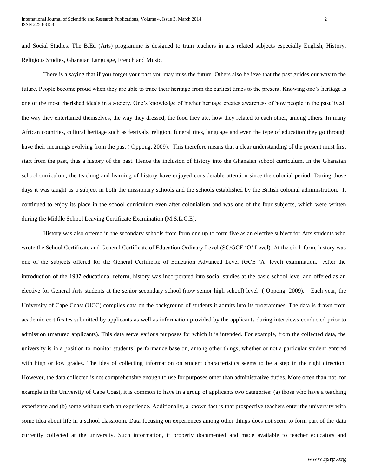and Social Studies. The B.Ed (Arts) programme is designed to train teachers in arts related subjects especially English, History, Religious Studies, Ghanaian Language, French and Music.

There is a saying that if you forget your past you may miss the future. Others also believe that the past guides our way to the future. People become proud when they are able to trace their heritage from the earliest times to the present. Knowing one's heritage is one of the most cherished ideals in a society. One's knowledge of his/her heritage creates awareness of how people in the past lived, the way they entertained themselves, the way they dressed, the food they ate, how they related to each other, among others. In many African countries, cultural heritage such as festivals, religion, funeral rites, language and even the type of education they go through have their meanings evolving from the past ( Oppong, 2009). This therefore means that a clear understanding of the present must first start from the past, thus a history of the past. Hence the inclusion of history into the Ghanaian school curriculum. In the Ghanaian school curriculum, the teaching and learning of history have enjoyed considerable attention since the colonial period. During those days it was taught as a subject in both the missionary schools and the schools established by the British colonial administration. It continued to enjoy its place in the school curriculum even after colonialism and was one of the four subjects, which were written during the Middle School Leaving Certificate Examination (M.S.L.C.E).

History was also offered in the secondary schools from form one up to form five as an elective subject for Arts students who wrote the School Certificate and General Certificate of Education Ordinary Level (SC/GCE 'O' Level). At the sixth form, history was one of the subjects offered for the General Certificate of Education Advanced Level (GCE 'A' level) examination. After the introduction of the 1987 educational reform, history was incorporated into social studies at the basic school level and offered as an elective for General Arts students at the senior secondary school (now senior high school) level ( Oppong, 2009). Each year, the University of Cape Coast (UCC) compiles data on the background of students it admits into its programmes. The data is drawn from academic certificates submitted by applicants as well as information provided by the applicants during interviews conducted prior to admission (matured applicants). This data serve various purposes for which it is intended. For example, from the collected data, the university is in a position to monitor students' performance base on, among other things, whether or not a particular student entered with high or low grades. The idea of collecting information on student characteristics seems to be a step in the right direction. However, the data collected is not comprehensive enough to use for purposes other than administrative duties. More often than not, for example in the University of Cape Coast, it is common to have in a group of applicants two categories: (a) those who have a teaching experience and (b) some without such an experience. Additionally, a known fact is that prospective teachers enter the university with some idea about life in a school classroom. Data focusing on experiences among other things does not seem to form part of the data currently collected at the university. Such information, if properly documented and made available to teacher educators and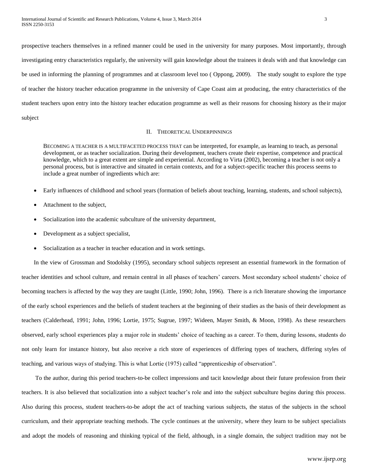prospective teachers themselves in a refined manner could be used in the university for many purposes. Most importantly, through investigating entry characteristics regularly, the university will gain knowledge about the trainees it deals with and that knowledge can be used in informing the planning of programmes and at classroom level too ( Oppong, 2009). The study sought to explore the type of teacher the history teacher education programme in the university of Cape Coast aim at producing, the entry characteristics of the student teachers upon entry into the history teacher education programme as well as their reasons for choosing history as their major subject

## II. THEORETICAL UNDERPINNINGS

BECOMING A TEACHER IS A MULTIFACETED PROCESS THAT can be interpreted, for example, as learning to teach, as personal development, or as teacher socialization. During their development, teachers create their expertise, competence and practical knowledge, which to a great extent are simple and experiential. According to Virta (2002), becoming a teacher is not only a personal process, but is interactive and situated in certain contexts, and for a subject-specific teacher this process seems to include a great number of ingredients which are:

- Early influences of childhood and school years (formation of beliefs about teaching, learning, students, and school subjects),
- Attachment to the subject,
- Socialization into the academic subculture of the university department,
- Development as a subject specialist,
- Socialization as a teacher in teacher education and in work settings.

In the view of Grossman and Stodolsky (1995), secondary school subjects represent an essential framework in the formation of teacher identities and school culture, and remain central in all phases of teachers' careers. Most secondary school students' choice of becoming teachers is affected by the way they are taught (Little, 1990; John, 1996). There is a rich literature showing the importance of the early school experiences and the beliefs of student teachers at the beginning of their studies as the basis of their development as teachers (Calderhead, 1991; John, 1996; Lortie, 1975; Sugrue, 1997; Wideen, Mayer Smith, & Moon, 1998). As these researchers observed, early school experiences play a major role in students' choice of teaching as a career. To them, during lessons, students do not only learn for instance history, but also receive a rich store of experiences of differing types of teachers, differing styles of teaching, and various ways of studying. This is what Lortie (1975) called "apprenticeship of observation".

To the author, during this period teachers-to-be collect impressions and tacit knowledge about their future profession from their teachers. It is also believed that socialization into a subject teacher's role and into the subject subculture begins during this process. Also during this process, student teachers-to-be adopt the act of teaching various subjects, the status of the subjects in the school curriculum, and their appropriate teaching methods. The cycle continues at the university, where they learn to be subject specialists and adopt the models of reasoning and thinking typical of the field, although, in a single domain, the subject tradition may not be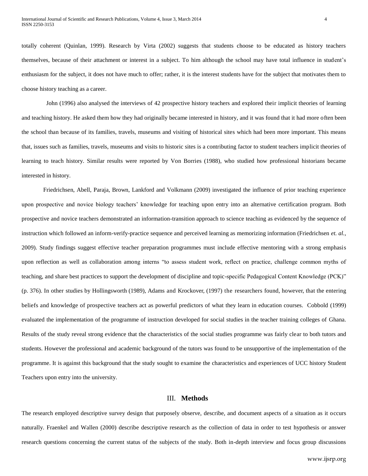totally coherent (Quinlan, 1999). Research by Virta (2002) suggests that students choose to be educated as history teachers themselves, because of their attachment or interest in a subject. To him although the school may have total influence in student's enthusiasm for the subject, it does not have much to offer; rather, it is the interest students have for the subject that motivates them to choose history teaching as a career.

 John (1996) also analysed the interviews of 42 prospective history teachers and explored their implicit theories of learning and teaching history. He asked them how they had originally became interested in history, and it was found that it had more often been the school than because of its families, travels, museums and visiting of historical sites which had been more important. This means that, issues such as families, travels, museums and visits to historic sites is a contributing factor to student teachers implicit theories of learning to teach history. Similar results were reported by Von Borries (1988), who studied how professional historians became interested in history.

Friedrichsen, Abell, Paraja, Brown, Lankford and Volkmann (2009) investigated the influence of prior teaching experience upon prospective and novice biology teachers' knowledge for teaching upon entry into an alternative certification program. Both prospective and novice teachers demonstrated an information-transition approach to science teaching as evidenced by the sequence of instruction which followed an inform-verify-practice sequence and perceived learning as memorizing information (Friedrichsen *et. al.,* 2009). Study findings suggest effective teacher preparation programmes must include effective mentoring with a strong emphasis upon reflection as well as collaboration among interns "to assess student work, reflect on practice, challenge common myths of teaching, and share best practices to support the development of discipline and topic-specific Pedagogical Content Knowledge (PCK)" (p. 376). In other studies by Hollingsworth (1989), Adams and Krockover, (1997) the researchers found, however, that the entering beliefs and knowledge of prospective teachers act as powerful predictors of what they learn in education courses. Cobbold (1999) evaluated the implementation of the programme of instruction developed for social studies in the teacher training colleges of Ghana. Results of the study reveal strong evidence that the characteristics of the social studies programme was fairly clear to both tutors and students. However the professional and academic background of the tutors was found to be unsupportive of the implementation of the programme. It is against this background that the study sought to examine the characteristics and experiences of UCC history Student Teachers upon entry into the university.

# III. **Methods**

The research employed descriptive survey design that purposely observe, describe, and document aspects of a situation as it occurs naturally. Fraenkel and Wallen (2000) describe descriptive research as the collection of data in order to test hypothesis or answer research questions concerning the current status of the subjects of the study. Both in-depth interview and focus group discussions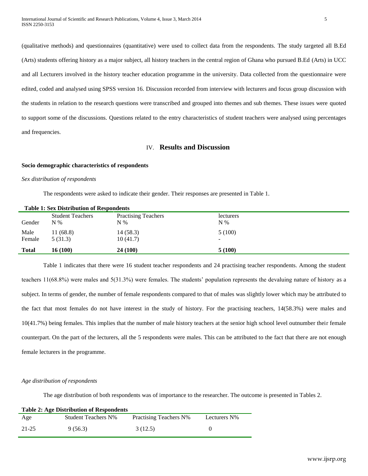(qualitative methods) and questionnaires (quantitative) were used to collect data from the respondents. The study targeted all B.Ed (Arts) students offering history as a major subject, all history teachers in the central region of Ghana who pursued B.Ed (Arts) in UCC and all Lecturers involved in the history teacher education programme in the university. Data collected from the questionnaire were edited, coded and analysed using SPSS version 16. Discussion recorded from interview with lecturers and focus group discussion with the students in relation to the research questions were transcribed and grouped into themes and sub themes. These issues were quoted to support some of the discussions. Questions related to the entry characteristics of student teachers were analysed using percentages and frequencies.

# IV. **Results and Discussion**

## **Socio demographic characteristics of respondents**

#### *Sex distribution of respondents*

The respondents were asked to indicate their gender. Their responses are presented in Table 1.

|              | <b>Table 1: Sex Distribution of Respondents</b> |                            |           |  |  |  |
|--------------|-------------------------------------------------|----------------------------|-----------|--|--|--|
|              | <b>Student Teachers</b>                         | <b>Practising Teachers</b> | lecturers |  |  |  |
| Gender       | $N\%$                                           | $N\%$                      | $N\%$     |  |  |  |
| Male         | 11(68.8)                                        | 14(58.3)                   | 5(100)    |  |  |  |
| Female       | 5(31.3)                                         | 10(41.7)                   | ۰.        |  |  |  |
| <b>Total</b> | 16(100)                                         | 24 (100)                   | 5(100)    |  |  |  |

Table 1 indicates that there were 16 student teacher respondents and 24 practising teacher respondents. Among the student teachers 11(68.8%) were males and 5(31.3%) were females. The students' population represents the devaluing nature of history as a subject. In terms of gender, the number of female respondents compared to that of males was slightly lower which may be attributed to the fact that most females do not have interest in the study of history. For the practising teachers, 14(58.3%) were males and 10(41.7%) being females. This implies that the number of male history teachers at the senior high school level outnumber their female counterpart. On the part of the lecturers, all the 5 respondents were males. This can be attributed to the fact that there are not enough female lecturers in the programme.

#### *Age distribution of respondents*

The age distribution of both respondents was of importance to the researcher. The outcome is presented in Tables 2.

| <b>Table 2: Age Distribution of Respondents</b> |                            |                               |              |  |  |
|-------------------------------------------------|----------------------------|-------------------------------|--------------|--|--|
| Age                                             | <b>Student Teachers N%</b> | <b>Practising Teachers N%</b> | Lecturers N% |  |  |
| 21-25                                           | 9(56.3)                    | 3 (12.5)                      |              |  |  |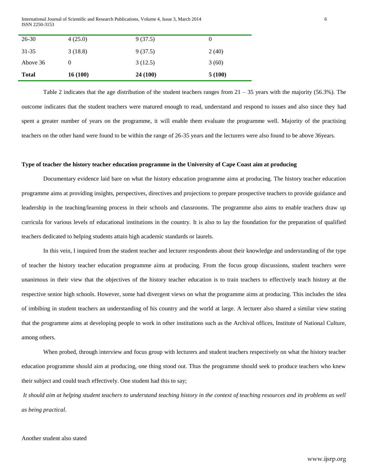International Journal of Scientific and Research Publications, Volume 4, Issue 3, March 2014 6 ISSN 2250-3153

|              | 16(100)  |          | 5(100) |
|--------------|----------|----------|--------|
| <b>Total</b> |          | 24 (100) |        |
| Above 36     | $\theta$ | 3(12.5)  | 3(60)  |
| 31-35        | 3(18.8)  | 9(37.5)  | 2(40)  |
| $26 - 30$    | 4(25.0)  | 9(37.5)  | 0      |
|              |          |          |        |

Table 2 indicates that the age distribution of the student teachers ranges from  $21 - 35$  years with the majority (56.3%). The outcome indicates that the student teachers were matured enough to read, understand and respond to issues and also since they had spent a greater number of years on the programme, it will enable them evaluate the programme well. Majority of the practising teachers on the other hand were found to be within the range of 26-35 years and the lecturers were also found to be above 36years.

#### **Type of teacher the history teacher education programme in the University of Cape Coast aim at producing**

Documentary evidence laid bare on what the history education programme aims at producing. The history teacher education programme aims at providing insights, perspectives, directives and projections to prepare prospective teachers to provide guidance and leadership in the teaching/learning process in their schools and classrooms. The programme also aims to enable teachers draw up curricula for various levels of educational institutions in the country. It is also to lay the foundation for the preparation of qualified teachers dedicated to helping students attain high academic standards or laurels.

In this vein, I inquired from the student teacher and lecturer respondents about their knowledge and understanding of the type of teacher the history teacher education programme aims at producing. From the focus group discussions, student teachers were unanimous in their view that the objectives of the history teacher education is to train teachers to effectively teach history at the respective senior high schools. However, some had divergent views on what the programme aims at producing. This includes the idea of imbibing in student teachers an understanding of his country and the world at large. A lecturer also shared a similar view stating that the programme aims at developing people to work in other institutions such as the Archival offices, Institute of National Culture, among others.

When probed, through interview and focus group with lecturers and student teachers respectively on what the history teacher education programme should aim at producing, one thing stood out. Thus the programme should seek to produce teachers who knew their subject and could teach effectively. One student had this to say;

*It should aim at helping student teachers to understand teaching history in the context of teaching resources and its problems as well as being practical*.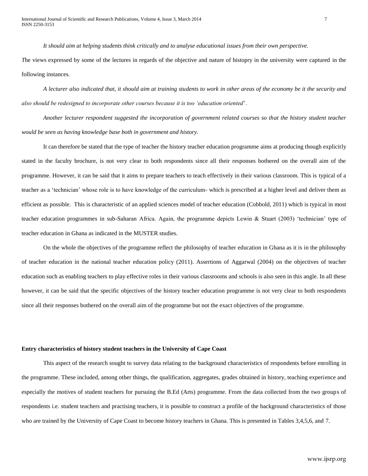*It should aim at helping students think critically and to analyse educational issues from their own perspective.*

*T*he views expressed by some of the lectures in regards of the objective and nature of histopry in the university were captured in the following instances.

*A lecturer also indicated that, it should aim at training students to work in other areas of the economy be it the security and also should be redesigned to incorporate other courses because it is too 'education oriented*'.

*Another lecturer respondent suggested the incorporation of government related courses so that the history student teacher would be seen as having knowledge base both in government and history.* 

It can therefore be stated that the type of teacher the history teacher education programme aims at producing though explicitly stated in the faculty brochure, is not very clear to both respondents since all their responses bothered on the overall aim of the programme. However, it can be said that it aims to prepare teachers to teach effectively in their various classroom. This is typical of a teacher as a 'technician' whose role is to have knowledge of the curriculum- which is prescribed at a higher level and deliver them as efficient as possible. This is characteristic of an applied sciences model of teacher education (Cobbold, 2011) which is typical in most teacher education programmes in sub-Saharan Africa. Again, the programme depicts Lewin & Stuart (2003) 'technician' type of teacher education in Ghana as indicated in the MUSTER studies.

On the whole the objectives of the programme reflect the philosophy of teacher education in Ghana as it is in the philosophy of teacher education in the national teacher education policy (2011). Assertions of Aggarwal (2004) on the objectives of teacher education such as enabling teachers to play effective roles in their various classrooms and schools is also seen in this angle. In all these however, it can be said that the specific objectives of the history teacher education programme is not very clear to both respondents since all their responses bothered on the overall aim of the programme but not the exact objectives of the programme.

## **Entry characteristics of history student teachers in the University of Cape Coast**

This aspect of the research sought to survey data relating to the background characteristics of respondents before enrolling in the programme. These included, among other things, the qualification, aggregates, grades obtained in history, teaching experience and especially the motives of student teachers for pursuing the B.Ed (Arts) programme. From the data collected from the two groups of respondents i.e. student teachers and practising teachers, it is possible to construct a profile of the background characteristics of those who are trained by the University of Cape Coast to become history teachers in Ghana. This is presented in Tables 3,4,5,6, and 7.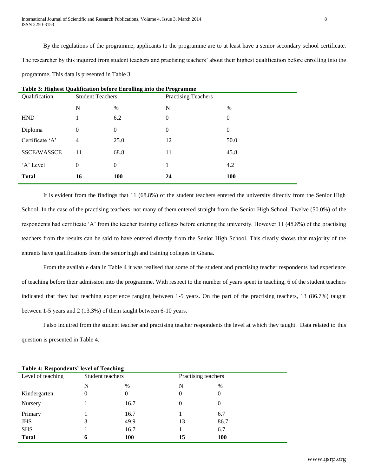By the regulations of the programme, applicants to the programme are to at least have a senior secondary school certificate. The researcher by this inquired from student teachers and practising teachers' about their highest qualification before enrolling into the programme. This data is presented in Table 3.

| Table 3: Highest Qualification before Enrolling into the Programme |                         |                            |          |            |
|--------------------------------------------------------------------|-------------------------|----------------------------|----------|------------|
| Qualification                                                      | <b>Student Teachers</b> | <b>Practising Teachers</b> |          |            |
|                                                                    | N                       | $\%$                       | N        | $\%$       |
| <b>HND</b>                                                         |                         | 6.2                        | $\Omega$ | $\theta$   |
| Diploma                                                            | $\Omega$                | $\mathbf{0}$               | $\Omega$ | $\theta$   |
| Certificate 'A'                                                    | 4                       | 25.0                       | 12       | 50.0       |
| <b>SSCE/WASSCE</b>                                                 | 11                      | 68.8                       | 11       | 45.8       |
| 'A' Level                                                          | $\theta$                | $\mathbf{0}$               |          | 4.2        |
| <b>Total</b>                                                       | 16                      | <b>100</b>                 | 24       | <b>100</b> |

It is evident from the findings that 11 (68.8%) of the student teachers entered the university directly from the Senior High School. In the case of the practising teachers, not many of them entered straight from the Senior High School. Twelve (50.0%) of the respondents had certificate 'A' from the teacher training colleges before entering the university. However 11 (45.8%) of the practising teachers from the results can be said to have entered directly from the Senior High School. This clearly shows that majority of the entrants have qualifications from the senior high and training colleges in Ghana.

From the available data in Table 4 it was realised that some of the student and practising teacher respondents had experience of teaching before their admission into the programme. With respect to the number of years spent in teaching, 6 of the student teachers indicated that they had teaching experience ranging between 1-5 years. On the part of the practising teachers, 13 (86.7%) taught between 1-5 years and 2 (13.3%) of them taught between 6-10 years.

I also inquired from the student teacher and practising teacher respondents the level at which they taught. Data related to this question is presented in Table 4.

| Level of teaching | Student teachers |      | Practising teachers |            |
|-------------------|------------------|------|---------------------|------------|
|                   | N                | $\%$ | N                   | %          |
| Kindergarten      | 0                | 0    | 0                   | 0          |
| Nursery           |                  | 16.7 | $\Omega$            | 0          |
| Primary           |                  | 16.7 |                     | 6.7        |
| <b>JHS</b>        | 3                | 49.9 | 13                  | 86.7       |
| <b>SHS</b>        |                  | 16.7 |                     | 6.7        |
| <b>Total</b>      | 6                | 100  | 15                  | <b>100</b> |

**Table 4: Respondents' level of Teaching**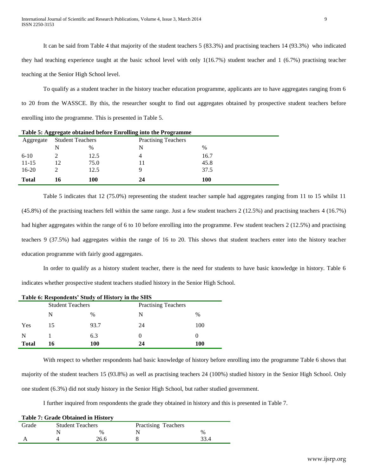It can be said from Table 4 that majority of the student teachers 5 (83.3%) and practising teachers 14 (93.3%) who indicated they had teaching experience taught at the basic school level with only 1(16.7%) student teacher and 1 (6.7%) practising teacher teaching at the Senior High School level.

To qualify as a student teacher in the history teacher education programme, applicants are to have aggregates ranging from 6 to 20 from the WASSCE. By this, the researcher sought to find out aggregates obtained by prospective student teachers before enrolling into the programme. This is presented in Table 5.

| Table 5: Aggregate obtained before Enrolling into the Programme |                                                       |      |    |               |  |  |
|-----------------------------------------------------------------|-------------------------------------------------------|------|----|---------------|--|--|
| Aggregate                                                       | <b>Practising Teachers</b><br><b>Student Teachers</b> |      |    |               |  |  |
|                                                                 | N                                                     | $\%$ |    | $\frac{0}{0}$ |  |  |
| $6 - 10$                                                        |                                                       | 12.5 | 4  | 16.7          |  |  |
| $11 - 15$                                                       | 12                                                    | 75.0 |    | 45.8          |  |  |
| $16-20$                                                         |                                                       | 12.5 | 9  | 37.5          |  |  |
| <b>Total</b>                                                    |                                                       | 100  | 24 | 100           |  |  |

Table 5 indicates that 12 (75.0%) representing the student teacher sample had aggregates ranging from 11 to 15 whilst 11 (45.8%) of the practising teachers fell within the same range. Just a few student teachers 2 (12.5%) and practising teachers 4 (16.7%) had higher aggregates within the range of 6 to 10 before enrolling into the programme. Few student teachers 2 (12.5%) and practising teachers 9 (37.5%) had aggregates within the range of 16 to 20. This shows that student teachers enter into the history teacher education programme with fairly good aggregates.

In order to qualify as a history student teacher, there is the need for students to have basic knowledge in history. Table 6 indicates whether prospective student teachers studied history in the Senior High School.

| Table 6: Respondents' Study of History in the SHS |                         |                            |    |      |  |
|---------------------------------------------------|-------------------------|----------------------------|----|------|--|
|                                                   | <b>Student Teachers</b> | <b>Practising Teachers</b> |    |      |  |
|                                                   | N                       | %                          | N  | $\%$ |  |
| Yes                                               | 15                      | 93.7                       | 24 | 100  |  |
| N                                                 |                         | 6.3                        | 0  |      |  |
| Total                                             | 16                      | 100                        | 24 | 100  |  |

With respect to whether respondents had basic knowledge of history before enrolling into the programme Table 6 shows that majority of the student teachers 15 (93.8%) as well as practising teachers 24 (100%) studied history in the Senior High School. Only one student (6.3%) did not study history in the Senior High School, but rather studied government.

I further inquired from respondents the grade they obtained in history and this is presented in Table 7.

|       | <b>Table 7: Grade Obtained in History</b> |      |                            |               |  |  |  |  |  |
|-------|-------------------------------------------|------|----------------------------|---------------|--|--|--|--|--|
| Grade | <b>Student Teachers</b>                   |      | <b>Practising Teachers</b> |               |  |  |  |  |  |
|       |                                           | $\%$ |                            | $\frac{0}{6}$ |  |  |  |  |  |
|       |                                           | 26.6 |                            |               |  |  |  |  |  |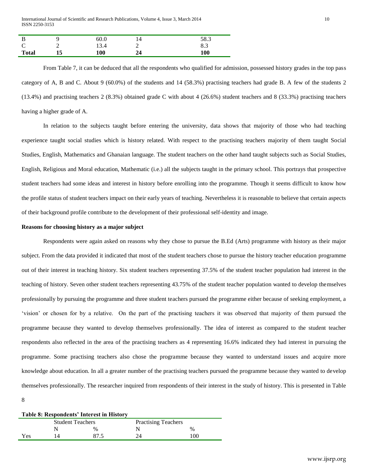| .,            |        | 60.0 |   | 58.3                   |
|---------------|--------|------|---|------------------------|
| $\Gamma$<br>◡ | ∸<br>- | 13.4 | — | $\circ$ $\circ$<br>0.5 |
| <b>Total</b>  | ⊥୰     | 100  |   | 100                    |

From Table 7, it can be deduced that all the respondents who qualified for admission, possessed history grades in the top pass category of A, B and C. About 9 (60.0%) of the students and 14 (58.3%) practising teachers had grade B. A few of the students 2 (13.4%) and practising teachers 2 (8.3%) obtained grade C with about 4 (26.6%) student teachers and 8 (33.3%) practising teachers having a higher grade of A.

In relation to the subjects taught before entering the university, data shows that majority of those who had teaching experience taught social studies which is history related. With respect to the practising teachers majority of them taught Social Studies, English, Mathematics and Ghanaian language. The student teachers on the other hand taught subjects such as Social Studies, English, Religious and Moral education, Mathematic (i.e.) all the subjects taught in the primary school. This portrays that prospective student teachers had some ideas and interest in history before enrolling into the programme. Though it seems difficult to know how the profile status of student teachers impact on their early years of teaching. Nevertheless it is reasonable to believe that certain aspects of their background profile contribute to the development of their professional self-identity and image.

### **Reasons for choosing history as a major subject**

Respondents were again asked on reasons why they chose to pursue the B.Ed (Arts) programme with history as their major subject. From the data provided it indicated that most of the student teachers chose to pursue the history teacher education programme out of their interest in teaching history. Six student teachers representing 37.5% of the student teacher population had interest in the teaching of history. Seven other student teachers representing 43.75% of the student teacher population wanted to develop themselves professionally by pursuing the programme and three student teachers pursued the programme either because of seeking employment, a 'vision' or chosen for by a relative. On the part of the practising teachers it was observed that majority of them pursued the programme because they wanted to develop themselves professionally. The idea of interest as compared to the student teacher respondents also reflected in the area of the practising teachers as 4 representing 16.6% indicated they had interest in pursuing the programme. Some practising teachers also chose the programme because they wanted to understand issues and acquire more knowledge about education. In all a greater number of the practising teachers pursued the programme because they wanted to develop themselves professionally. The researcher inquired from respondents of their interest in the study of history. This is presented in Table

8

| Table 8: Respondents' Interest in History |                         |      |                            |      |  |  |  |
|-------------------------------------------|-------------------------|------|----------------------------|------|--|--|--|
|                                           | <b>Student Teachers</b> |      | <b>Practising Teachers</b> |      |  |  |  |
|                                           |                         | $\%$ |                            | $\%$ |  |  |  |
| Yes                                       |                         | 87.5 | 24                         | 100  |  |  |  |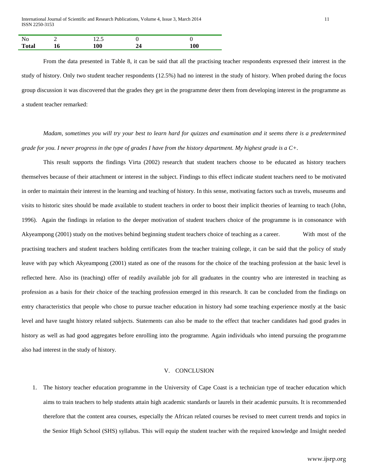| No           |    |     |     |
|--------------|----|-----|-----|
| <b>Total</b> | 10 | 100 | 100 |

From the data presented in Table 8, it can be said that all the practising teacher respondents expressed their interest in the study of history. Only two student teacher respondents (12.5%) had no interest in the study of history. When probed during the focus group discussion it was discovered that the grades they get in the programme deter them from developing interest in the programme as a student teacher remarked:

*Madam, sometimes you will try your best to learn hard for quizzes and examination and it seems there is a predetermined grade for you. I never progress in the type of grades I have from the history department. My highest grade is a C+.* 

This result supports the findings Virta (2002) research that student teachers choose to be educated as history teachers themselves because of their attachment or interest in the subject. Findings to this effect indicate student teachers need to be motivated in order to maintain their interest in the learning and teaching of history. In this sense, motivating factors such as travels, museums and visits to historic sites should be made available to student teachers in order to boost their implicit theories of learning to teach (John, 1996). Again the findings in relation to the deeper motivation of student teachers choice of the programme is in consonance with Akyeampong (2001) study on the motives behind beginning student teachers choice of teaching as a career. With most of the practising teachers and student teachers holding certificates from the teacher training college, it can be said that the policy of study leave with pay which Akyeampong (2001) stated as one of the reasons for the choice of the teaching profession at the basic level is reflected here. Also its (teaching) offer of readily available job for all graduates in the country who are interested in teaching as profession as a basis for their choice of the teaching profession emerged in this research. It can be concluded from the findings on entry characteristics that people who chose to pursue teacher education in history had some teaching experience mostly at the basic level and have taught history related subjects. Statements can also be made to the effect that teacher candidates had good grades in history as well as had good aggregates before enrolling into the programme. Again individuals who intend pursuing the programme also had interest in the study of history.

#### V. CONCLUSION

1. The history teacher education programme in the University of Cape Coast is a technician type of teacher education which aims to train teachers to help students attain high academic standards or laurels in their academic pursuits. It is recommended therefore that the content area courses, especially the African related courses be revised to meet current trends and topics in the Senior High School (SHS) syllabus. This will equip the student teacher with the required knowledge and Insight needed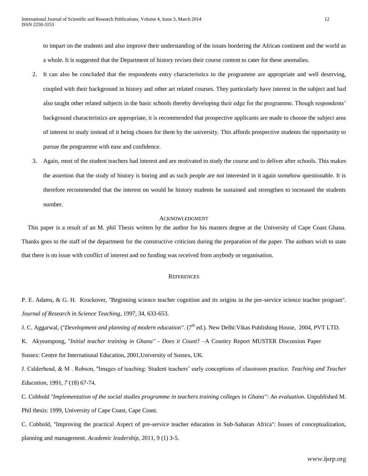to impart on the students and also improve their understanding of the issues bordering the African continent and the world as a whole. It is suggested that the Department of history revises their course content to cater for these anomalies.

- 2. It can also be concluded that the respondents entry characteristics to the programme are appropriate and well deserving, coupled with their background in history and other art related courses. They particularly have interest in the subject and had also taught other related subjects in the basic schools thereby developing their edge for the programme. Though respondents' background characteristics are appropriate, it is recommended that prospective applicants are made to choose the subject area of interest to study instead of it being chosen for them by the university. This affords prospective students the opportunity to pursue the programme with ease and confidence.
- 3. Again, most of the student teachers had interest and are motivated to study the course and to deliver after schools. This makes the assertion that the study of history is boring and as such people are not interested in it again somehow questionable. It is therefore recommended that the interest on would be history students be sustained and strengthen to increased the students number.

# ACKNOWLEDGMENT

This paper is a result of an M. phil Thesis written by the author for his masters degree at the University of Cape Coast Ghana. Thanks goes to the staff of the department for the constructive criticism during the preparation of the paper. The authors wish to state that there is no issue with conflict of interest and no funding was received from anybody or organisation.

#### **REFERENCES**

P. E. Adams, & G. H. Krockover, ''Beginning science teacher cognition and its origins in the pre-service science teacher program''. *Journal of Research in Science Teaching*, 1997, 34, 633-653.

J. C. Aggarwal, ("*Development and planning of modern education"*. (7<sup>th</sup> ed.). New Delhi: Vikas Publishing House, 2004, PVT LTD.

K. Akyeampong, ''*Initial teacher training in Ghana'' - Does it Count*? –A Country Report MUSTER Discussion Paper Sussex: Centre for International Education, 2001,University of Sussex, UK.

J. Calderhead, & M . Robson, ''Images of teaching: Student teachers' early conceptions of classroom practice. *Teaching and Teacher Education,* 1991, *7* (18) 67-74.

C. Cobbold ''*Implementation of the social studies programme in teachers training colleges in Ghana''*: *An evaluation*. Unpublished M. Phil thesis: 1999, University of Cape Coast, Cape Coast.

C. Cobbold, ''Improving the practical Aspect of pre-service teacher education in Sub-Saharan Africa'': Issues of conceptualization, planning and management. *Academic leadership*, 2011, 9 (1) 3-5.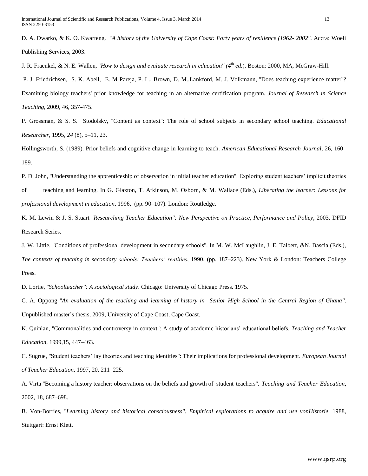D. A. Dwarko, & K. O. Kwarteng. ''*A history of the University of Cape Coast: Forty years of resilience (1962- 2002''.* Accra: Woeli Publishing Services, 2003.

J. R. Fraenkel, & N. E. Wallen, ''*How to design and evaluate research in education'' (4th ed.*). Boston: 2000, MA, McGraw-Hill.

P. J. Friedrichsen, S. K. Abell, E. M Pareja, P. L., Brown, D. M.,Lankford, M. J. Volkmann, ''Does teaching experience matter''? Examining biology teachers' prior knowledge for teaching in an alternative certification program*. Journal of Research in Science Teaching,* 2009, 46, 357-475.

P. Grossman, & S. S. Stodolsky, ''Content as context'': The role of school subjects in secondary school teaching. *Educational Researcher,* 1995, *24* (8), 5–11, 23.

Hollingsworth, S. (1989). Prior beliefs and cognitive change in learning to teach*. American Educational Research Journal,* 26, 160– 189.

P. D. John, ''Understanding the apprenticeship of observation in initial teacher education''. Exploring student teachers' implicit theories of teaching and learning. In G. Glaxton, T. Atkinson, M. Osborn, & M. Wallace (Eds.), *Liberating the learner: Lessons for professional development in education*, 1996, (pp. 90–107). London: Routledge.

K. M. Lewin & J. S. Stuart ''*Researching Teacher Education'': New Perspective on Practice, Performance and Policy*, 2003, DFID Research Series.

J. W. Little, ''Conditions of professional development in secondary schools''. In M. W. McLaughlin, J. E. Talbert, &N. Bascia (Eds.), *The contexts of teaching in secondary schools: Teachers' realities*, 1990, (pp. 187–223). New York & London: Teachers College Press.

D. Lortie, ''*Schoolteacher'': A sociological study*. Chicago: University of Chicago Press. 1975.

C. A. Oppong ''*An evaluation of the teaching and learning of history in Senior High School in the Central Region of Ghana''*. Unpublished master's thesis, 2009, University of Cape Coast, Cape Coast.

K. Quinlan, ''Commonalities and controversy in context'': A study of academic historians' educational beliefs. *Teaching and Teacher Education*, 1999,15, 447–463.

C. Sugrue, ''Student teachers' lay theories and teaching identities'': Their implications for professional development. *European Journal of Teacher Education,* 1997, 20, 211–225.

A. Virta ''Becoming a history teacher: observations on the beliefs and growth of student teachers''. *Teaching and Teacher Education*, 2002, 18, 687–698.

B. Von-Borries, ''*Learning history and historical consciousness''. Empirical explorations to acquire and use vonHistorie*. 1988, Stuttgart: Ernst Klett.